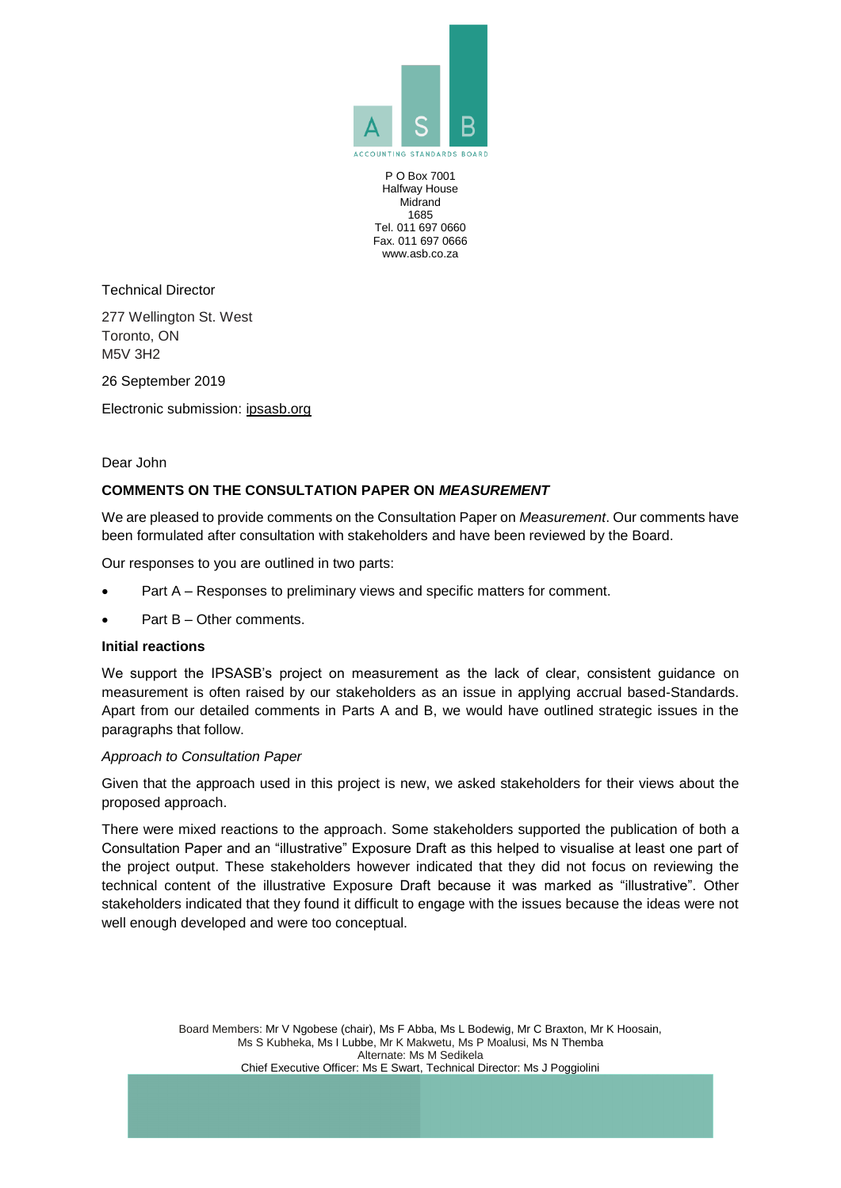

P O Box 7001 Halfway House Midrand 1685 Tel. 011 697 0660 Fax. 011 697 0666 www.asb.co.za

Technical Director

277 Wellington St. West Toronto, ON M5V 3H2

26 September 2019

Electronic submission: ipsasb.org

Dear John

## **COMMENTS ON THE CONSULTATION PAPER ON** *MEASUREMENT*

We are pleased to provide comments on the Consultation Paper on *Measurement*. Our comments have been formulated after consultation with stakeholders and have been reviewed by the Board.

Our responses to you are outlined in two parts:

- Part A Responses to preliminary views and specific matters for comment.
- Part B Other comments.

#### **Initial reactions**

We support the IPSASB's project on measurement as the lack of clear, consistent quidance on measurement is often raised by our stakeholders as an issue in applying accrual based-Standards. Apart from our detailed comments in Parts A and B, we would have outlined strategic issues in the paragraphs that follow.

#### *Approach to Consultation Paper*

Given that the approach used in this project is new, we asked stakeholders for their views about the proposed approach.

There were mixed reactions to the approach. Some stakeholders supported the publication of both a Consultation Paper and an "illustrative" Exposure Draft as this helped to visualise at least one part of the project output. These stakeholders however indicated that they did not focus on reviewing the technical content of the illustrative Exposure Draft because it was marked as "illustrative". Other stakeholders indicated that they found it difficult to engage with the issues because the ideas were not well enough developed and were too conceptual.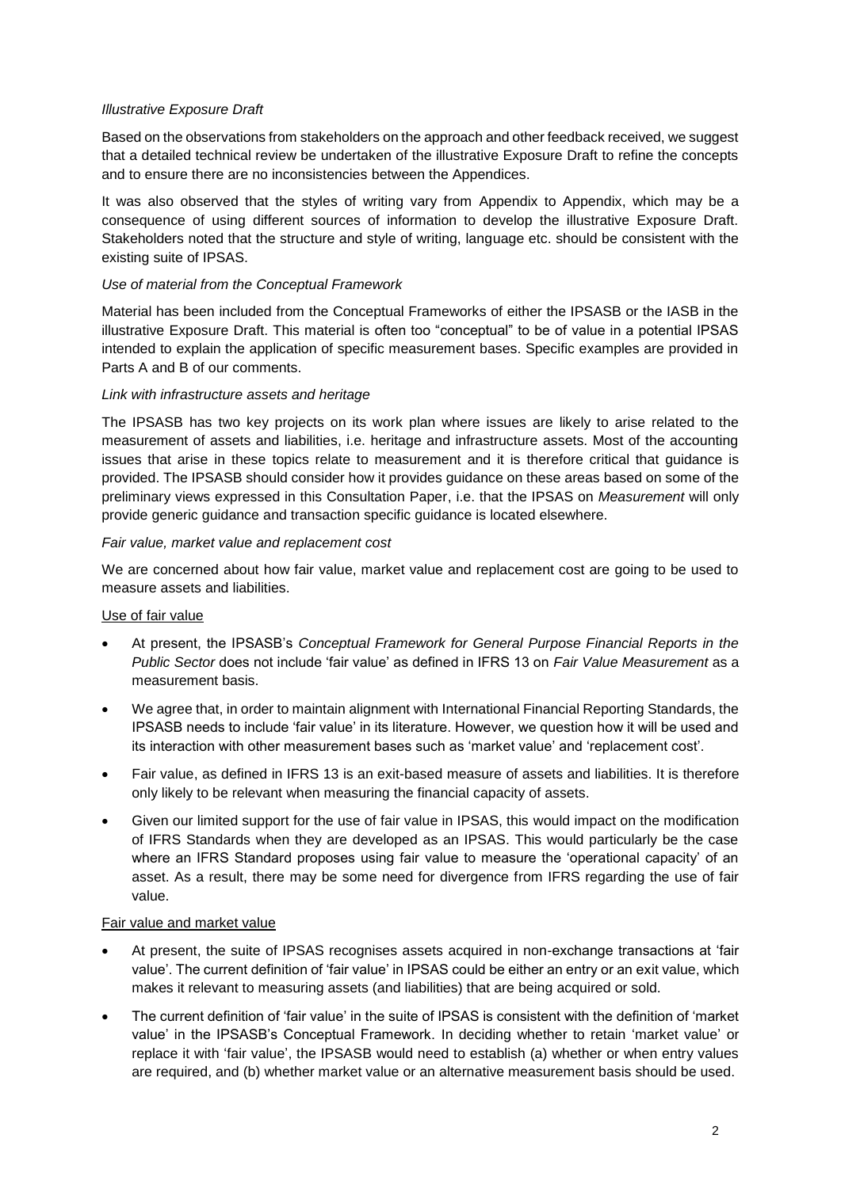## *Illustrative Exposure Draft*

Based on the observations from stakeholders on the approach and other feedback received, we suggest that a detailed technical review be undertaken of the illustrative Exposure Draft to refine the concepts and to ensure there are no inconsistencies between the Appendices.

It was also observed that the styles of writing vary from Appendix to Appendix, which may be a consequence of using different sources of information to develop the illustrative Exposure Draft. Stakeholders noted that the structure and style of writing, language etc. should be consistent with the existing suite of IPSAS.

## *Use of material from the Conceptual Framework*

Material has been included from the Conceptual Frameworks of either the IPSASB or the IASB in the illustrative Exposure Draft. This material is often too "conceptual" to be of value in a potential IPSAS intended to explain the application of specific measurement bases. Specific examples are provided in Parts A and B of our comments.

## *Link with infrastructure assets and heritage*

The IPSASB has two key projects on its work plan where issues are likely to arise related to the measurement of assets and liabilities, i.e. heritage and infrastructure assets. Most of the accounting issues that arise in these topics relate to measurement and it is therefore critical that guidance is provided. The IPSASB should consider how it provides guidance on these areas based on some of the preliminary views expressed in this Consultation Paper, i.e. that the IPSAS on *Measurement* will only provide generic guidance and transaction specific guidance is located elsewhere.

## *Fair value, market value and replacement cost*

We are concerned about how fair value, market value and replacement cost are going to be used to measure assets and liabilities.

## Use of fair value

- At present, the IPSASB's *Conceptual Framework for General Purpose Financial Reports in the Public Sector* does not include 'fair value' as defined in IFRS 13 on *Fair Value Measurement* as a measurement basis.
- We agree that, in order to maintain alignment with International Financial Reporting Standards, the IPSASB needs to include 'fair value' in its literature. However, we question how it will be used and its interaction with other measurement bases such as 'market value' and 'replacement cost'.
- Fair value, as defined in IFRS 13 is an exit-based measure of assets and liabilities. It is therefore only likely to be relevant when measuring the financial capacity of assets.
- Given our limited support for the use of fair value in IPSAS, this would impact on the modification of IFRS Standards when they are developed as an IPSAS. This would particularly be the case where an IFRS Standard proposes using fair value to measure the 'operational capacity' of an asset. As a result, there may be some need for divergence from IFRS regarding the use of fair value.

## Fair value and market value

- At present, the suite of IPSAS recognises assets acquired in non-exchange transactions at 'fair value'. The current definition of 'fair value' in IPSAS could be either an entry or an exit value, which makes it relevant to measuring assets (and liabilities) that are being acquired or sold.
- The current definition of 'fair value' in the suite of IPSAS is consistent with the definition of 'market value' in the IPSASB's Conceptual Framework. In deciding whether to retain 'market value' or replace it with 'fair value', the IPSASB would need to establish (a) whether or when entry values are required, and (b) whether market value or an alternative measurement basis should be used.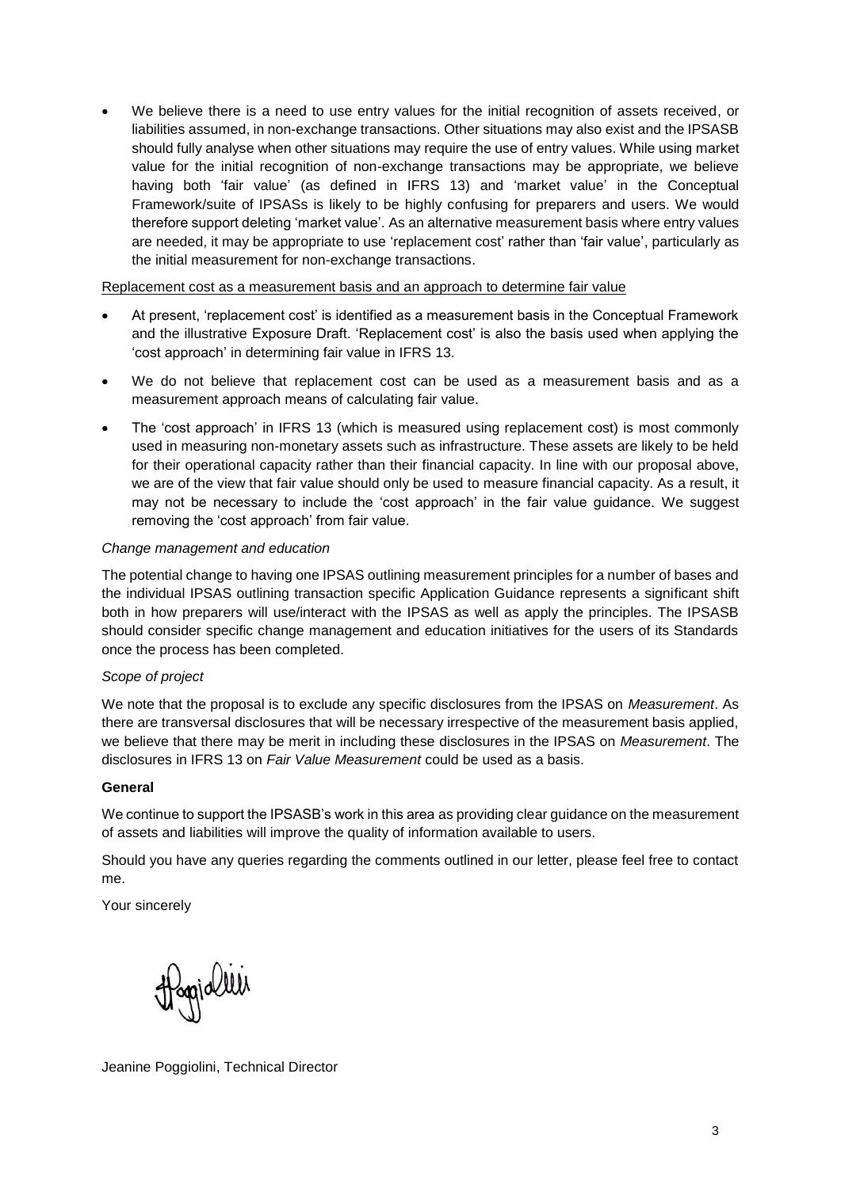• We believe there is a need to use entry values for the initial recognition of assets received, or liabilities assumed, in non-exchange transactions. Other situations may also exist and the IPSASB should fully analyse when other situations may require the use of entry values. While using market value for the initial recognition of non-exchange transactions may be appropriate, we believe having both 'fair value' (as defined in IFRS 13) and 'market value' in the Conceptual Framework/suite of IPSASs is likely to be highly confusing for preparers and users. We would therefore support deleting 'market value'. As an alternative measurement basis where entry values are needed, it may be appropriate to use 'replacement cost' rather than 'fair value', particularly as the initial measurement for non-exchange transactions.

### Replacement cost as a measurement basis and an approach to determine fair value

- At present, 'replacement cost' is identified as a measurement basis in the Conceptual Framework and the illustrative Exposure Draft. 'Replacement cost' is also the basis used when applying the 'cost approach' in determining fair value in IFRS 13.
- We do not believe that replacement cost can be used as a measurement basis and as a measurement approach means of calculating fair value.
- The 'cost approach' in IFRS 13 (which is measured using replacement cost) is most commonly used in measuring non-monetary assets such as infrastructure. These assets are likely to be held for their operational capacity rather than their financial capacity. In line with our proposal above, we are of the view that fair value should only be used to measure financial capacity. As a result, it may not be necessary to include the 'cost approach' in the fair value guidance. We suggest removing the 'cost approach' from fair value.

## *Change management and education*

The potential change to having one IPSAS outlining measurement principles for a number of bases and the individual IPSAS outlining transaction specific Application Guidance represents a significant shift both in how preparers will use/interact with the IPSAS as well as apply the principles. The IPSASB should consider specific change management and education initiatives for the users of its Standards once the process has been completed.

## *Scope of project*

We note that the proposal is to exclude any specific disclosures from the IPSAS on *Measurement*. As there are transversal disclosures that will be necessary irrespective of the measurement basis applied, we believe that there may be merit in including these disclosures in the IPSAS on *Measurement*. The disclosures in IFRS 13 on *Fair Value Measurement* could be used as a basis.

## **General**

We continue to support the IPSASB's work in this area as providing clear guidance on the measurement of assets and liabilities will improve the quality of information available to users.

Should you have any queries regarding the comments outlined in our letter, please feel free to contact me.

Your sincerely

Hoppialler

Jeanine Poggiolini, Technical Director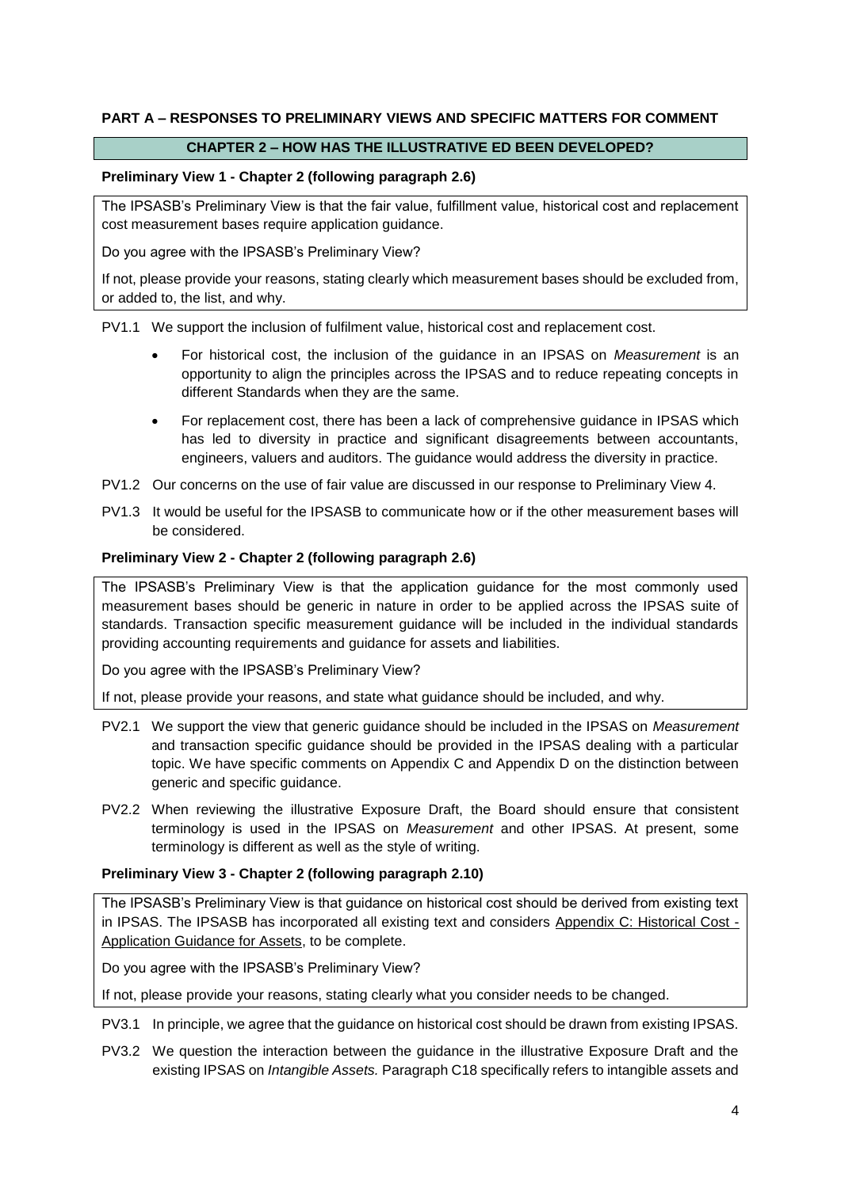## **PART A – RESPONSES TO PRELIMINARY VIEWS AND SPECIFIC MATTERS FOR COMMENT**

## **CHAPTER 2 – HOW HAS THE ILLUSTRATIVE ED BEEN DEVELOPED?**

### **Preliminary View 1 - Chapter 2 (following paragraph 2.6)**

The IPSASB's Preliminary View is that the fair value, fulfillment value, historical cost and replacement cost measurement bases require application guidance.

Do you agree with the IPSASB's Preliminary View?

If not, please provide your reasons, stating clearly which measurement bases should be excluded from, or added to, the list, and why.

PV1.1 We support the inclusion of fulfilment value, historical cost and replacement cost.

- For historical cost, the inclusion of the guidance in an IPSAS on *Measurement* is an opportunity to align the principles across the IPSAS and to reduce repeating concepts in different Standards when they are the same.
- For replacement cost, there has been a lack of comprehensive guidance in IPSAS which has led to diversity in practice and significant disagreements between accountants, engineers, valuers and auditors. The guidance would address the diversity in practice.
- PV1.2 Our concerns on the use of fair value are discussed in our response to Preliminary View 4.
- PV1.3 It would be useful for the IPSASB to communicate how or if the other measurement bases will be considered.

### **Preliminary View 2 - Chapter 2 (following paragraph 2.6)**

The IPSASB's Preliminary View is that the application guidance for the most commonly used measurement bases should be generic in nature in order to be applied across the IPSAS suite of standards. Transaction specific measurement guidance will be included in the individual standards providing accounting requirements and guidance for assets and liabilities.

Do you agree with the IPSASB's Preliminary View?

If not, please provide your reasons, and state what guidance should be included, and why.

- PV2.1 We support the view that generic guidance should be included in the IPSAS on *Measurement* and transaction specific guidance should be provided in the IPSAS dealing with a particular topic. We have specific comments on Appendix C and Appendix D on the distinction between generic and specific guidance.
- PV2.2 When reviewing the illustrative Exposure Draft, the Board should ensure that consistent terminology is used in the IPSAS on *Measurement* and other IPSAS. At present, some terminology is different as well as the style of writing.

## **Preliminary View 3 - Chapter 2 (following paragraph 2.10)**

The IPSASB's Preliminary View is that guidance on historical cost should be derived from existing text in IPSAS. The IPSASB has incorporated all existing text and considers Appendix C: Historical Cost - Application Guidance for Assets, to be complete.

Do you agree with the IPSASB's Preliminary View?

If not, please provide your reasons, stating clearly what you consider needs to be changed.

- PV3.1 In principle, we agree that the guidance on historical cost should be drawn from existing IPSAS.
- PV3.2 We question the interaction between the guidance in the illustrative Exposure Draft and the existing IPSAS on *Intangible Assets.* Paragraph C18 specifically refers to intangible assets and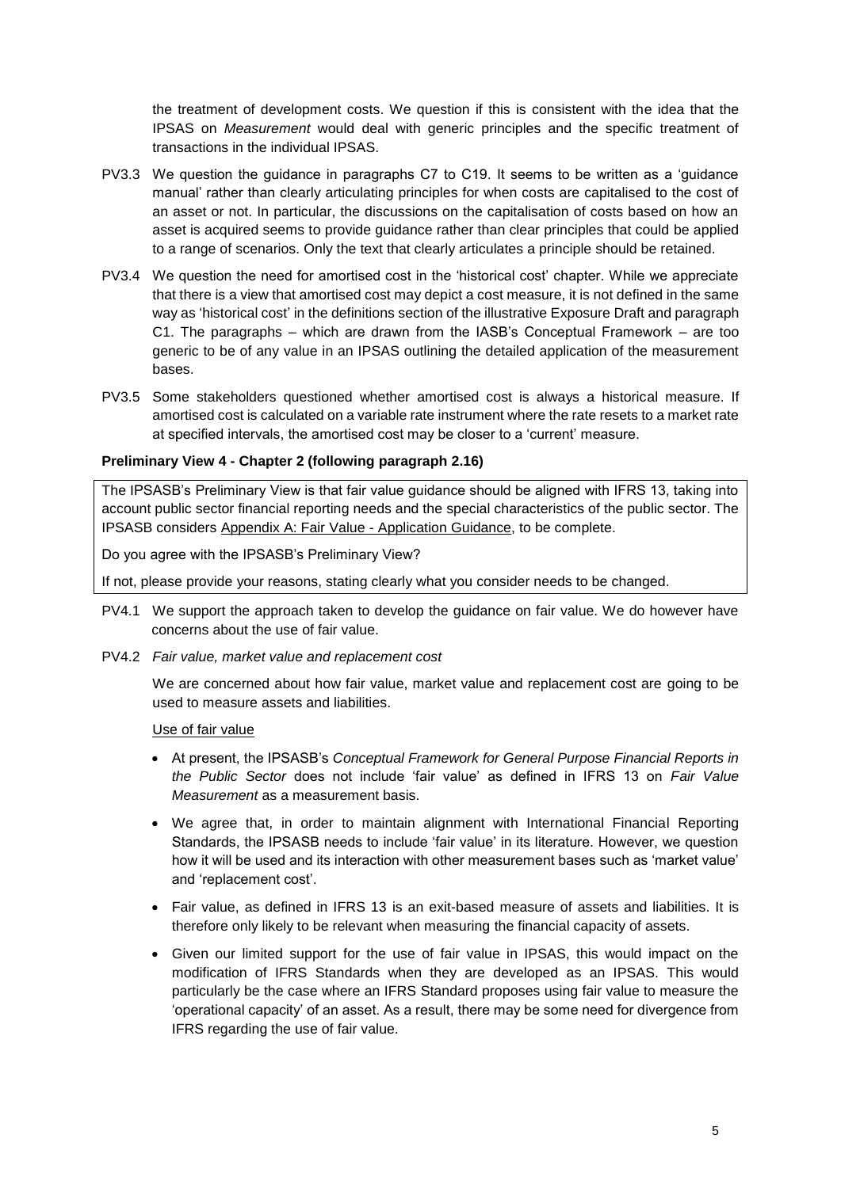the treatment of development costs. We question if this is consistent with the idea that the IPSAS on *Measurement* would deal with generic principles and the specific treatment of transactions in the individual IPSAS.

- PV3.3 We question the guidance in paragraphs C7 to C19. It seems to be written as a 'guidance manual' rather than clearly articulating principles for when costs are capitalised to the cost of an asset or not. In particular, the discussions on the capitalisation of costs based on how an asset is acquired seems to provide guidance rather than clear principles that could be applied to a range of scenarios. Only the text that clearly articulates a principle should be retained.
- PV3.4 We question the need for amortised cost in the 'historical cost' chapter. While we appreciate that there is a view that amortised cost may depict a cost measure, it is not defined in the same way as 'historical cost' in the definitions section of the illustrative Exposure Draft and paragraph C1. The paragraphs – which are drawn from the IASB's Conceptual Framework – are too generic to be of any value in an IPSAS outlining the detailed application of the measurement bases.
- PV3.5 Some stakeholders questioned whether amortised cost is always a historical measure. If amortised cost is calculated on a variable rate instrument where the rate resets to a market rate at specified intervals, the amortised cost may be closer to a 'current' measure.

## **Preliminary View 4 - Chapter 2 (following paragraph 2.16)**

The IPSASB's Preliminary View is that fair value guidance should be aligned with IFRS 13, taking into account public sector financial reporting needs and the special characteristics of the public sector. The IPSASB considers Appendix A: Fair Value - Application Guidance, to be complete.

Do you agree with the IPSASB's Preliminary View?

If not, please provide your reasons, stating clearly what you consider needs to be changed.

- PV4.1 We support the approach taken to develop the guidance on fair value. We do however have concerns about the use of fair value.
- PV4.2 *Fair value, market value and replacement cost*

We are concerned about how fair value, market value and replacement cost are going to be used to measure assets and liabilities.

#### Use of fair value

- At present, the IPSASB's *Conceptual Framework for General Purpose Financial Reports in the Public Sector* does not include 'fair value' as defined in IFRS 13 on *Fair Value Measurement* as a measurement basis.
- We agree that, in order to maintain alignment with International Financial Reporting Standards, the IPSASB needs to include 'fair value' in its literature. However, we question how it will be used and its interaction with other measurement bases such as 'market value' and 'replacement cost'.
- Fair value, as defined in IFRS 13 is an exit-based measure of assets and liabilities. It is therefore only likely to be relevant when measuring the financial capacity of assets.
- Given our limited support for the use of fair value in IPSAS, this would impact on the modification of IFRS Standards when they are developed as an IPSAS. This would particularly be the case where an IFRS Standard proposes using fair value to measure the 'operational capacity' of an asset. As a result, there may be some need for divergence from IFRS regarding the use of fair value.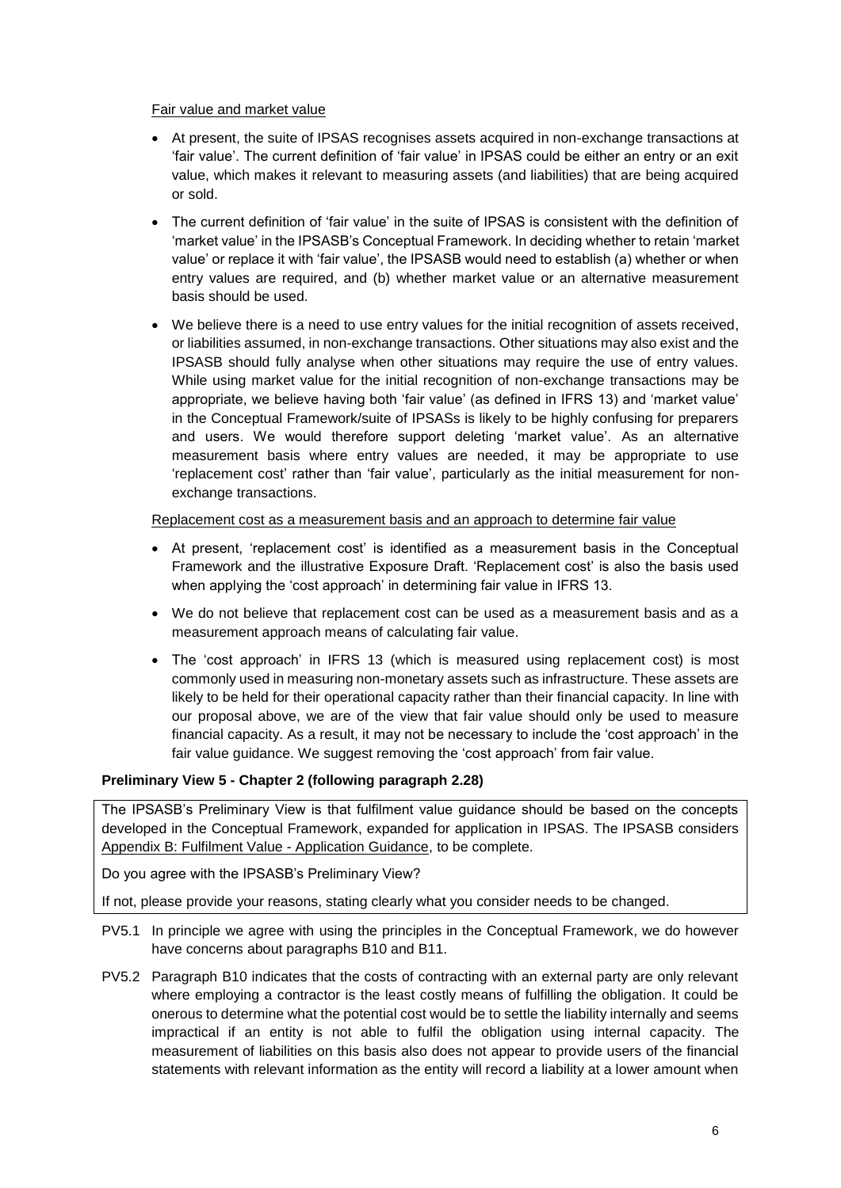### Fair value and market value

- At present, the suite of IPSAS recognises assets acquired in non-exchange transactions at 'fair value'. The current definition of 'fair value' in IPSAS could be either an entry or an exit value, which makes it relevant to measuring assets (and liabilities) that are being acquired or sold.
- The current definition of 'fair value' in the suite of IPSAS is consistent with the definition of 'market value' in the IPSASB's Conceptual Framework. In deciding whether to retain 'market value' or replace it with 'fair value', the IPSASB would need to establish (a) whether or when entry values are required, and (b) whether market value or an alternative measurement basis should be used.
- We believe there is a need to use entry values for the initial recognition of assets received, or liabilities assumed, in non-exchange transactions. Other situations may also exist and the IPSASB should fully analyse when other situations may require the use of entry values. While using market value for the initial recognition of non-exchange transactions may be appropriate, we believe having both 'fair value' (as defined in IFRS 13) and 'market value' in the Conceptual Framework/suite of IPSASs is likely to be highly confusing for preparers and users. We would therefore support deleting 'market value'. As an alternative measurement basis where entry values are needed, it may be appropriate to use 'replacement cost' rather than 'fair value', particularly as the initial measurement for nonexchange transactions.

### Replacement cost as a measurement basis and an approach to determine fair value

- At present, 'replacement cost' is identified as a measurement basis in the Conceptual Framework and the illustrative Exposure Draft. 'Replacement cost' is also the basis used when applying the 'cost approach' in determining fair value in IFRS 13.
- We do not believe that replacement cost can be used as a measurement basis and as a measurement approach means of calculating fair value.
- The 'cost approach' in IFRS 13 (which is measured using replacement cost) is most commonly used in measuring non-monetary assets such as infrastructure. These assets are likely to be held for their operational capacity rather than their financial capacity. In line with our proposal above, we are of the view that fair value should only be used to measure financial capacity. As a result, it may not be necessary to include the 'cost approach' in the fair value guidance. We suggest removing the 'cost approach' from fair value.

## **Preliminary View 5 - Chapter 2 (following paragraph 2.28)**

The IPSASB's Preliminary View is that fulfilment value guidance should be based on the concepts developed in the Conceptual Framework, expanded for application in IPSAS. The IPSASB considers Appendix B: Fulfilment Value - Application Guidance, to be complete.

Do you agree with the IPSASB's Preliminary View?

If not, please provide your reasons, stating clearly what you consider needs to be changed.

- PV5.1 In principle we agree with using the principles in the Conceptual Framework, we do however have concerns about paragraphs B10 and B11.
- PV5.2 Paragraph B10 indicates that the costs of contracting with an external party are only relevant where employing a contractor is the least costly means of fulfilling the obligation. It could be onerous to determine what the potential cost would be to settle the liability internally and seems impractical if an entity is not able to fulfil the obligation using internal capacity. The measurement of liabilities on this basis also does not appear to provide users of the financial statements with relevant information as the entity will record a liability at a lower amount when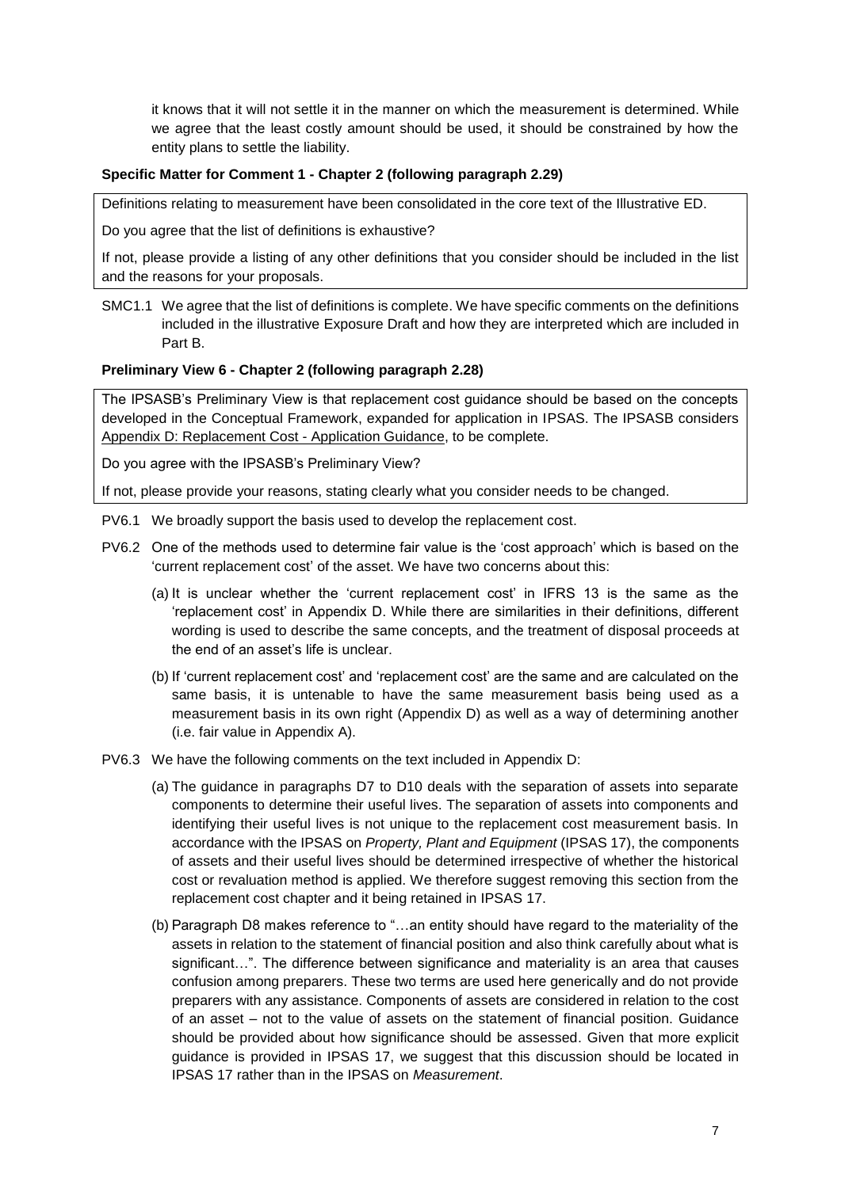it knows that it will not settle it in the manner on which the measurement is determined. While we agree that the least costly amount should be used, it should be constrained by how the entity plans to settle the liability.

## **Specific Matter for Comment 1 - Chapter 2 (following paragraph 2.29)**

Definitions relating to measurement have been consolidated in the core text of the Illustrative ED.

Do you agree that the list of definitions is exhaustive?

If not, please provide a listing of any other definitions that you consider should be included in the list and the reasons for your proposals.

SMC1.1 We agree that the list of definitions is complete. We have specific comments on the definitions included in the illustrative Exposure Draft and how they are interpreted which are included in Part B.

## **Preliminary View 6 - Chapter 2 (following paragraph 2.28)**

The IPSASB's Preliminary View is that replacement cost guidance should be based on the concepts developed in the Conceptual Framework, expanded for application in IPSAS. The IPSASB considers Appendix D: Replacement Cost - Application Guidance, to be complete.

Do you agree with the IPSASB's Preliminary View?

If not, please provide your reasons, stating clearly what you consider needs to be changed.

- PV6.1 We broadly support the basis used to develop the replacement cost.
- PV6.2 One of the methods used to determine fair value is the 'cost approach' which is based on the 'current replacement cost' of the asset. We have two concerns about this:
	- (a) It is unclear whether the 'current replacement cost' in IFRS 13 is the same as the 'replacement cost' in Appendix D. While there are similarities in their definitions, different wording is used to describe the same concepts, and the treatment of disposal proceeds at the end of an asset's life is unclear.
	- (b) If 'current replacement cost' and 'replacement cost' are the same and are calculated on the same basis, it is untenable to have the same measurement basis being used as a measurement basis in its own right (Appendix D) as well as a way of determining another (i.e. fair value in Appendix A).
- PV6.3 We have the following comments on the text included in Appendix D:
	- (a) The guidance in paragraphs D7 to D10 deals with the separation of assets into separate components to determine their useful lives. The separation of assets into components and identifying their useful lives is not unique to the replacement cost measurement basis. In accordance with the IPSAS on *Property, Plant and Equipment* (IPSAS 17), the components of assets and their useful lives should be determined irrespective of whether the historical cost or revaluation method is applied. We therefore suggest removing this section from the replacement cost chapter and it being retained in IPSAS 17.
	- (b) Paragraph D8 makes reference to "…an entity should have regard to the materiality of the assets in relation to the statement of financial position and also think carefully about what is significant…". The difference between significance and materiality is an area that causes confusion among preparers. These two terms are used here generically and do not provide preparers with any assistance. Components of assets are considered in relation to the cost of an asset – not to the value of assets on the statement of financial position. Guidance should be provided about how significance should be assessed. Given that more explicit guidance is provided in IPSAS 17, we suggest that this discussion should be located in IPSAS 17 rather than in the IPSAS on *Measurement*.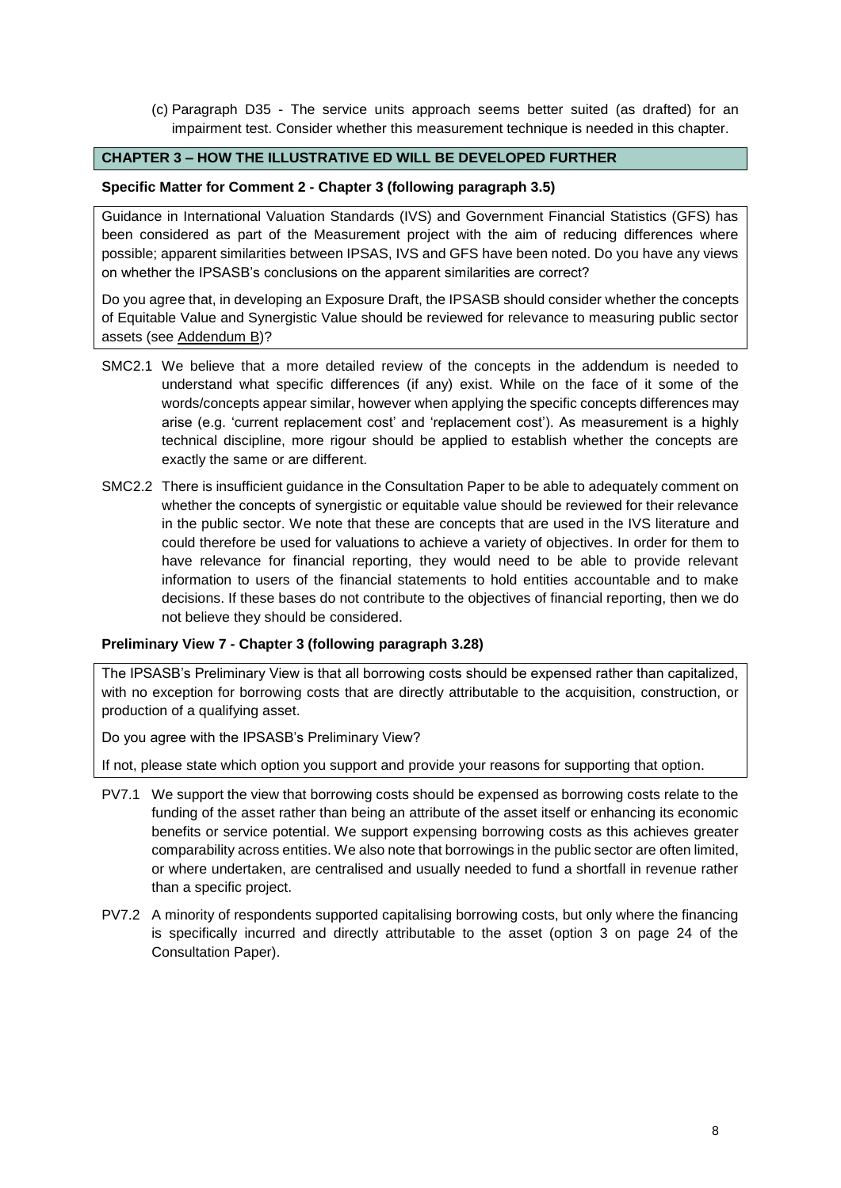(c) Paragraph D35 - The service units approach seems better suited (as drafted) for an impairment test. Consider whether this measurement technique is needed in this chapter.

## **CHAPTER 3 – HOW THE ILLUSTRATIVE ED WILL BE DEVELOPED FURTHER**

### **Specific Matter for Comment 2 - Chapter 3 (following paragraph 3.5)**

Guidance in International Valuation Standards (IVS) and Government Financial Statistics (GFS) has been considered as part of the Measurement project with the aim of reducing differences where possible; apparent similarities between IPSAS, IVS and GFS have been noted. Do you have any views on whether the IPSASB's conclusions on the apparent similarities are correct?

Do you agree that, in developing an Exposure Draft, the IPSASB should consider whether the concepts of Equitable Value and Synergistic Value should be reviewed for relevance to measuring public sector assets (see Addendum B)?

- SMC2.1 We believe that a more detailed review of the concepts in the addendum is needed to understand what specific differences (if any) exist. While on the face of it some of the words/concepts appear similar, however when applying the specific concepts differences may arise (e.g. 'current replacement cost' and 'replacement cost'). As measurement is a highly technical discipline, more rigour should be applied to establish whether the concepts are exactly the same or are different.
- SMC2.2 There is insufficient guidance in the Consultation Paper to be able to adequately comment on whether the concepts of synergistic or equitable value should be reviewed for their relevance in the public sector. We note that these are concepts that are used in the IVS literature and could therefore be used for valuations to achieve a variety of objectives. In order for them to have relevance for financial reporting, they would need to be able to provide relevant information to users of the financial statements to hold entities accountable and to make decisions. If these bases do not contribute to the objectives of financial reporting, then we do not believe they should be considered.

## **Preliminary View 7 - Chapter 3 (following paragraph 3.28)**

The IPSASB's Preliminary View is that all borrowing costs should be expensed rather than capitalized, with no exception for borrowing costs that are directly attributable to the acquisition, construction, or production of a qualifying asset.

Do you agree with the IPSASB's Preliminary View?

If not, please state which option you support and provide your reasons for supporting that option.

- PV7.1 We support the view that borrowing costs should be expensed as borrowing costs relate to the funding of the asset rather than being an attribute of the asset itself or enhancing its economic benefits or service potential. We support expensing borrowing costs as this achieves greater comparability across entities. We also note that borrowings in the public sector are often limited, or where undertaken, are centralised and usually needed to fund a shortfall in revenue rather than a specific project.
- PV7.2 A minority of respondents supported capitalising borrowing costs, but only where the financing is specifically incurred and directly attributable to the asset (option 3 on page 24 of the Consultation Paper).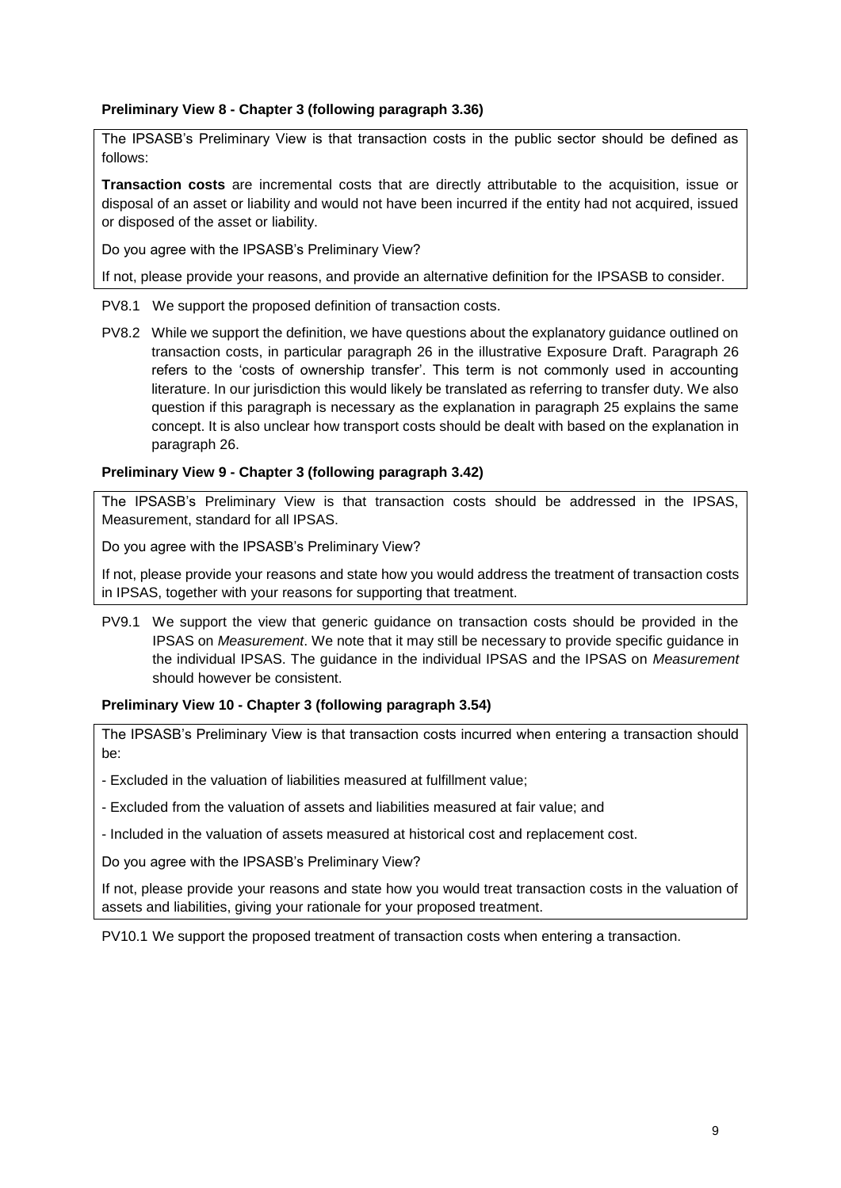## **Preliminary View 8 - Chapter 3 (following paragraph 3.36)**

The IPSASB's Preliminary View is that transaction costs in the public sector should be defined as follows:

**Transaction costs** are incremental costs that are directly attributable to the acquisition, issue or disposal of an asset or liability and would not have been incurred if the entity had not acquired, issued or disposed of the asset or liability.

Do you agree with the IPSASB's Preliminary View?

If not, please provide your reasons, and provide an alternative definition for the IPSASB to consider.

- PV8.1 We support the proposed definition of transaction costs.
- PV8.2 While we support the definition, we have questions about the explanatory guidance outlined on transaction costs, in particular paragraph 26 in the illustrative Exposure Draft. Paragraph 26 refers to the 'costs of ownership transfer'. This term is not commonly used in accounting literature. In our jurisdiction this would likely be translated as referring to transfer duty. We also question if this paragraph is necessary as the explanation in paragraph 25 explains the same concept. It is also unclear how transport costs should be dealt with based on the explanation in paragraph 26.

## **Preliminary View 9 - Chapter 3 (following paragraph 3.42)**

The IPSASB's Preliminary View is that transaction costs should be addressed in the IPSAS, Measurement, standard for all IPSAS.

Do you agree with the IPSASB's Preliminary View?

If not, please provide your reasons and state how you would address the treatment of transaction costs in IPSAS, together with your reasons for supporting that treatment.

PV9.1 We support the view that generic guidance on transaction costs should be provided in the IPSAS on *Measurement*. We note that it may still be necessary to provide specific guidance in the individual IPSAS. The guidance in the individual IPSAS and the IPSAS on *Measurement* should however be consistent.

## **Preliminary View 10 - Chapter 3 (following paragraph 3.54)**

The IPSASB's Preliminary View is that transaction costs incurred when entering a transaction should be:

- Excluded in the valuation of liabilities measured at fulfillment value;

- Excluded from the valuation of assets and liabilities measured at fair value; and

- Included in the valuation of assets measured at historical cost and replacement cost.

Do you agree with the IPSASB's Preliminary View?

If not, please provide your reasons and state how you would treat transaction costs in the valuation of assets and liabilities, giving your rationale for your proposed treatment.

PV10.1 We support the proposed treatment of transaction costs when entering a transaction.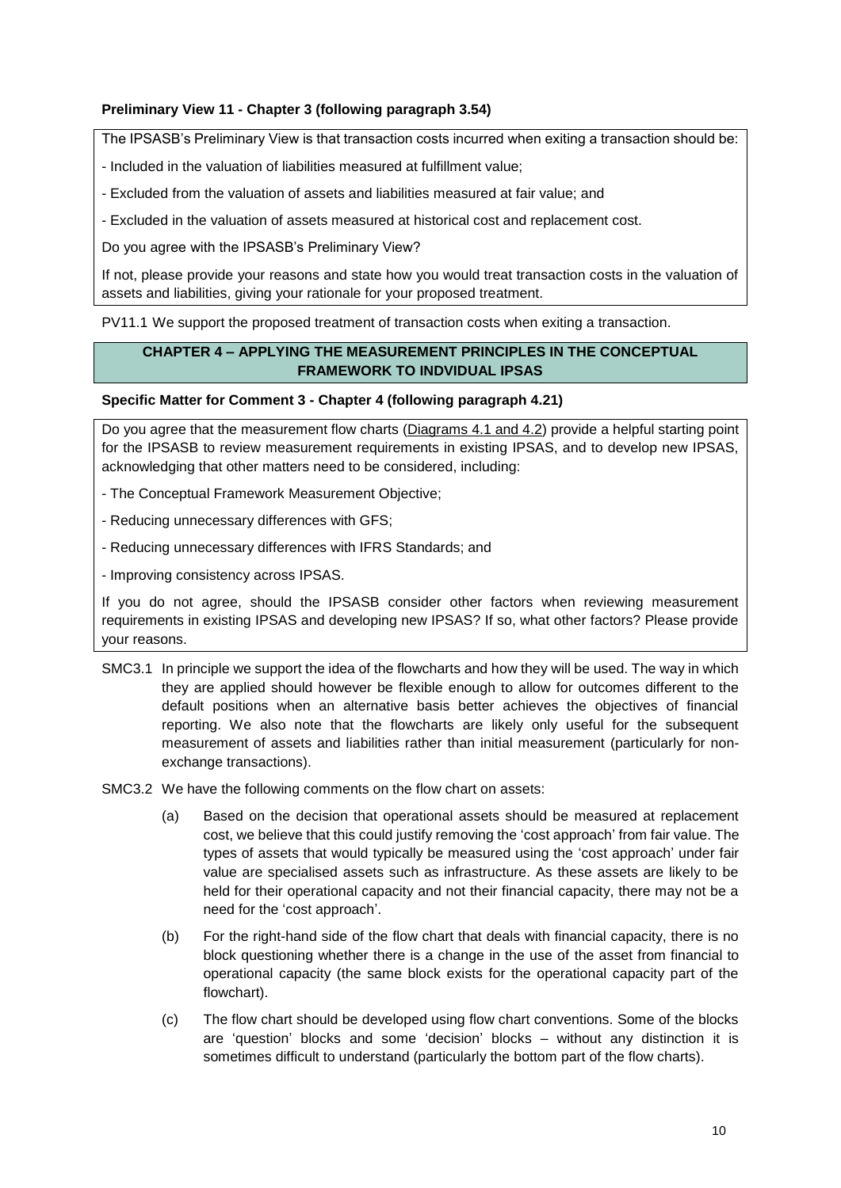## **Preliminary View 11 - Chapter 3 (following paragraph 3.54)**

The IPSASB's Preliminary View is that transaction costs incurred when exiting a transaction should be:

- Included in the valuation of liabilities measured at fulfillment value;
- Excluded from the valuation of assets and liabilities measured at fair value; and
- Excluded in the valuation of assets measured at historical cost and replacement cost.

Do you agree with the IPSASB's Preliminary View?

If not, please provide your reasons and state how you would treat transaction costs in the valuation of assets and liabilities, giving your rationale for your proposed treatment.

PV11.1 We support the proposed treatment of transaction costs when exiting a transaction.

## **CHAPTER 4 – APPLYING THE MEASUREMENT PRINCIPLES IN THE CONCEPTUAL FRAMEWORK TO INDVIDUAL IPSAS**

### **Specific Matter for Comment 3 - Chapter 4 (following paragraph 4.21)**

Do you agree that the measurement flow charts (Diagrams 4.1 and 4.2) provide a helpful starting point for the IPSASB to review measurement requirements in existing IPSAS, and to develop new IPSAS, acknowledging that other matters need to be considered, including:

- The Conceptual Framework Measurement Objective;

- Reducing unnecessary differences with GFS;

- Reducing unnecessary differences with IFRS Standards; and

- Improving consistency across IPSAS.

If you do not agree, should the IPSASB consider other factors when reviewing measurement requirements in existing IPSAS and developing new IPSAS? If so, what other factors? Please provide your reasons.

- SMC3.1 In principle we support the idea of the flowcharts and how they will be used. The way in which they are applied should however be flexible enough to allow for outcomes different to the default positions when an alternative basis better achieves the objectives of financial reporting. We also note that the flowcharts are likely only useful for the subsequent measurement of assets and liabilities rather than initial measurement (particularly for nonexchange transactions).
- SMC3.2 We have the following comments on the flow chart on assets:
	- (a) Based on the decision that operational assets should be measured at replacement cost, we believe that this could justify removing the 'cost approach' from fair value. The types of assets that would typically be measured using the 'cost approach' under fair value are specialised assets such as infrastructure. As these assets are likely to be held for their operational capacity and not their financial capacity, there may not be a need for the 'cost approach'.
	- (b) For the right-hand side of the flow chart that deals with financial capacity, there is no block questioning whether there is a change in the use of the asset from financial to operational capacity (the same block exists for the operational capacity part of the flowchart).
	- (c) The flow chart should be developed using flow chart conventions. Some of the blocks are 'question' blocks and some 'decision' blocks – without any distinction it is sometimes difficult to understand (particularly the bottom part of the flow charts).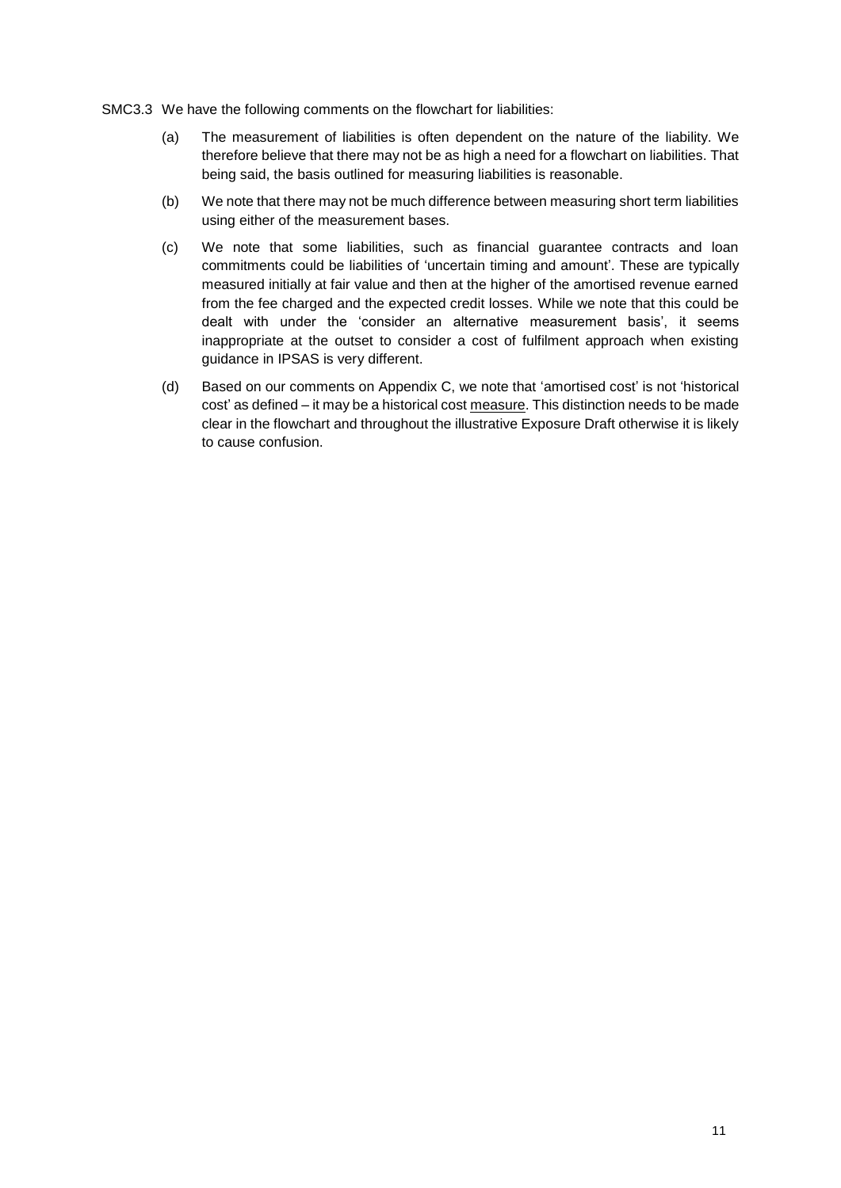- SMC3.3 We have the following comments on the flowchart for liabilities:
	- (a) The measurement of liabilities is often dependent on the nature of the liability. We therefore believe that there may not be as high a need for a flowchart on liabilities. That being said, the basis outlined for measuring liabilities is reasonable.
	- (b) We note that there may not be much difference between measuring short term liabilities using either of the measurement bases.
	- (c) We note that some liabilities, such as financial guarantee contracts and loan commitments could be liabilities of 'uncertain timing and amount'. These are typically measured initially at fair value and then at the higher of the amortised revenue earned from the fee charged and the expected credit losses. While we note that this could be dealt with under the 'consider an alternative measurement basis', it seems inappropriate at the outset to consider a cost of fulfilment approach when existing guidance in IPSAS is very different.
	- (d) Based on our comments on Appendix C, we note that 'amortised cost' is not 'historical cost' as defined – it may be a historical cost measure. This distinction needs to be made clear in the flowchart and throughout the illustrative Exposure Draft otherwise it is likely to cause confusion.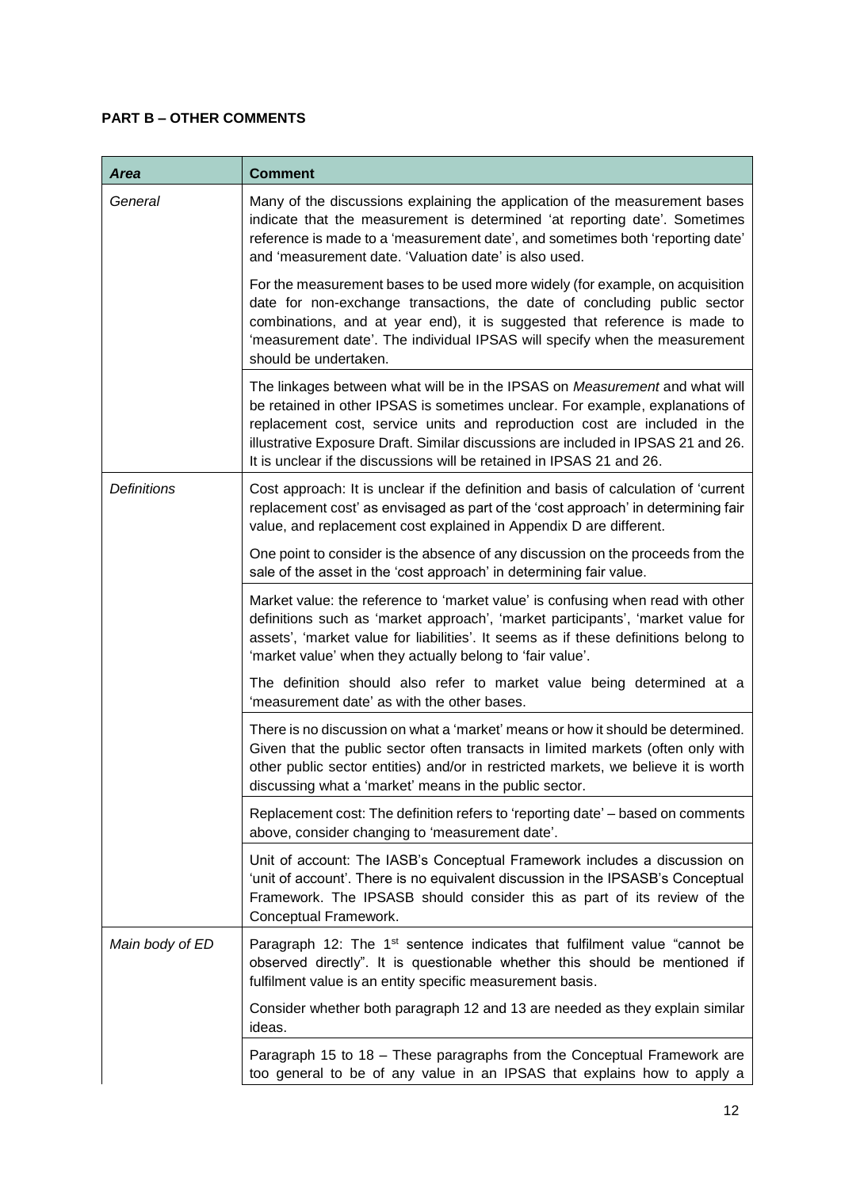# **PART B – OTHER COMMENTS**

| <b>Area</b>        | <b>Comment</b>                                                                                                                                                                                                                                                                                                                                                                                          |
|--------------------|---------------------------------------------------------------------------------------------------------------------------------------------------------------------------------------------------------------------------------------------------------------------------------------------------------------------------------------------------------------------------------------------------------|
| General            | Many of the discussions explaining the application of the measurement bases<br>indicate that the measurement is determined 'at reporting date'. Sometimes<br>reference is made to a 'measurement date', and sometimes both 'reporting date'<br>and 'measurement date. 'Valuation date' is also used.                                                                                                    |
|                    | For the measurement bases to be used more widely (for example, on acquisition<br>date for non-exchange transactions, the date of concluding public sector<br>combinations, and at year end), it is suggested that reference is made to<br>'measurement date'. The individual IPSAS will specify when the measurement<br>should be undertaken.                                                           |
|                    | The linkages between what will be in the IPSAS on Measurement and what will<br>be retained in other IPSAS is sometimes unclear. For example, explanations of<br>replacement cost, service units and reproduction cost are included in the<br>illustrative Exposure Draft. Similar discussions are included in IPSAS 21 and 26.<br>It is unclear if the discussions will be retained in IPSAS 21 and 26. |
| <b>Definitions</b> | Cost approach: It is unclear if the definition and basis of calculation of 'current<br>replacement cost' as envisaged as part of the 'cost approach' in determining fair<br>value, and replacement cost explained in Appendix D are different.                                                                                                                                                          |
|                    | One point to consider is the absence of any discussion on the proceeds from the<br>sale of the asset in the 'cost approach' in determining fair value.                                                                                                                                                                                                                                                  |
|                    | Market value: the reference to 'market value' is confusing when read with other<br>definitions such as 'market approach', 'market participants', 'market value for<br>assets', 'market value for liabilities'. It seems as if these definitions belong to<br>'market value' when they actually belong to 'fair value'.                                                                                  |
|                    | The definition should also refer to market value being determined at a<br>'measurement date' as with the other bases.                                                                                                                                                                                                                                                                                   |
|                    | There is no discussion on what a 'market' means or how it should be determined.<br>Given that the public sector often transacts in limited markets (often only with<br>other public sector entities) and/or in restricted markets, we believe it is worth<br>discussing what a 'market' means in the public sector.                                                                                     |
|                    | Replacement cost: The definition refers to 'reporting date' - based on comments<br>above, consider changing to 'measurement date'.                                                                                                                                                                                                                                                                      |
|                    | Unit of account: The IASB's Conceptual Framework includes a discussion on<br>'unit of account'. There is no equivalent discussion in the IPSASB's Conceptual<br>Framework. The IPSASB should consider this as part of its review of the<br>Conceptual Framework.                                                                                                                                        |
| Main body of ED    | Paragraph 12: The 1 <sup>st</sup> sentence indicates that fulfilment value "cannot be<br>observed directly". It is questionable whether this should be mentioned if<br>fulfilment value is an entity specific measurement basis.                                                                                                                                                                        |
|                    | Consider whether both paragraph 12 and 13 are needed as they explain similar<br>ideas.                                                                                                                                                                                                                                                                                                                  |
|                    | Paragraph 15 to 18 - These paragraphs from the Conceptual Framework are<br>too general to be of any value in an IPSAS that explains how to apply a                                                                                                                                                                                                                                                      |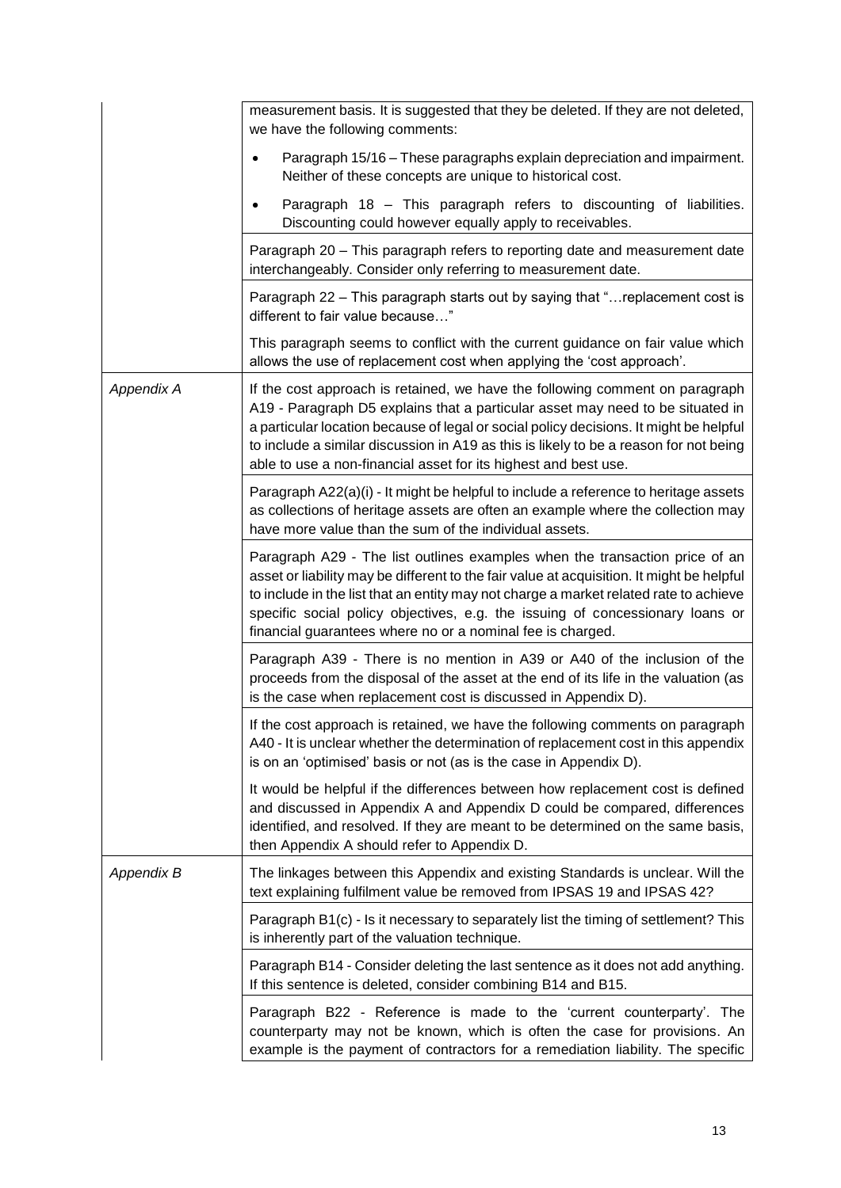|                   | measurement basis. It is suggested that they be deleted. If they are not deleted,<br>we have the following comments:                                                                                                                                                                                                                                                                                                 |
|-------------------|----------------------------------------------------------------------------------------------------------------------------------------------------------------------------------------------------------------------------------------------------------------------------------------------------------------------------------------------------------------------------------------------------------------------|
|                   | Paragraph 15/16 – These paragraphs explain depreciation and impairment.<br>Neither of these concepts are unique to historical cost.                                                                                                                                                                                                                                                                                  |
|                   | Paragraph 18 - This paragraph refers to discounting of liabilities.<br>Discounting could however equally apply to receivables.                                                                                                                                                                                                                                                                                       |
|                   | Paragraph 20 - This paragraph refers to reporting date and measurement date<br>interchangeably. Consider only referring to measurement date.                                                                                                                                                                                                                                                                         |
|                   | Paragraph 22 – This paragraph starts out by saying that "replacement cost is<br>different to fair value because"                                                                                                                                                                                                                                                                                                     |
|                   | This paragraph seems to conflict with the current guidance on fair value which<br>allows the use of replacement cost when applying the 'cost approach'.                                                                                                                                                                                                                                                              |
| Appendix A        | If the cost approach is retained, we have the following comment on paragraph<br>A19 - Paragraph D5 explains that a particular asset may need to be situated in<br>a particular location because of legal or social policy decisions. It might be helpful<br>to include a similar discussion in A19 as this is likely to be a reason for not being<br>able to use a non-financial asset for its highest and best use. |
|                   | Paragraph A22(a)(i) - It might be helpful to include a reference to heritage assets<br>as collections of heritage assets are often an example where the collection may<br>have more value than the sum of the individual assets.                                                                                                                                                                                     |
|                   | Paragraph A29 - The list outlines examples when the transaction price of an<br>asset or liability may be different to the fair value at acquisition. It might be helpful<br>to include in the list that an entity may not charge a market related rate to achieve<br>specific social policy objectives, e.g. the issuing of concessionary loans or<br>financial guarantees where no or a nominal fee is charged.     |
|                   | Paragraph A39 - There is no mention in A39 or A40 of the inclusion of the<br>proceeds from the disposal of the asset at the end of its life in the valuation (as<br>is the case when replacement cost is discussed in Appendix D).                                                                                                                                                                                   |
|                   | If the cost approach is retained, we have the following comments on paragraph<br>A40 - It is unclear whether the determination of replacement cost in this appendix<br>is on an 'optimised' basis or not (as is the case in Appendix D).                                                                                                                                                                             |
|                   | It would be helpful if the differences between how replacement cost is defined<br>and discussed in Appendix A and Appendix D could be compared, differences<br>identified, and resolved. If they are meant to be determined on the same basis,<br>then Appendix A should refer to Appendix D.                                                                                                                        |
| <b>Appendix B</b> | The linkages between this Appendix and existing Standards is unclear. Will the<br>text explaining fulfilment value be removed from IPSAS 19 and IPSAS 42?                                                                                                                                                                                                                                                            |
|                   | Paragraph B1(c) - Is it necessary to separately list the timing of settlement? This<br>is inherently part of the valuation technique.                                                                                                                                                                                                                                                                                |
|                   | Paragraph B14 - Consider deleting the last sentence as it does not add anything.<br>If this sentence is deleted, consider combining B14 and B15.                                                                                                                                                                                                                                                                     |
|                   | Paragraph B22 - Reference is made to the 'current counterparty'. The<br>counterparty may not be known, which is often the case for provisions. An<br>example is the payment of contractors for a remediation liability. The specific                                                                                                                                                                                 |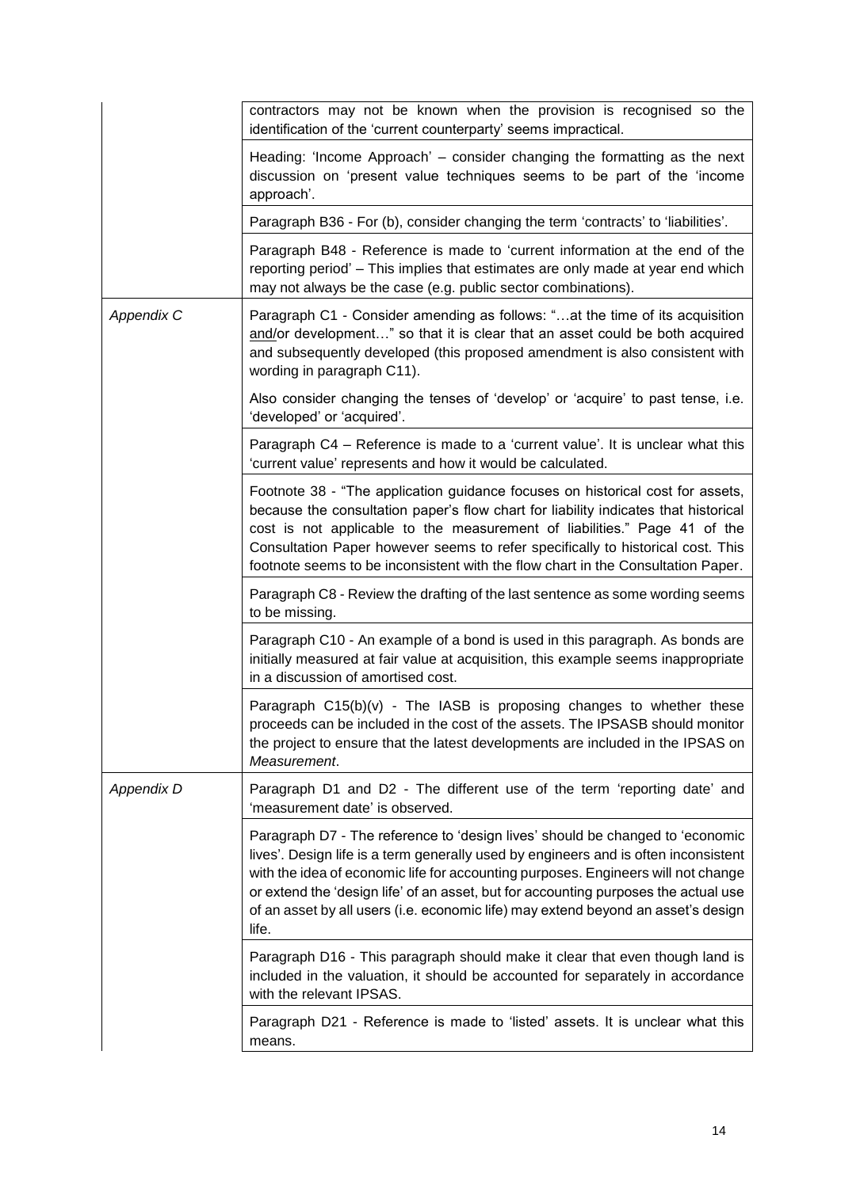|                   | contractors may not be known when the provision is recognised so the<br>identification of the 'current counterparty' seems impractical.                                                                                                                                                                                                                                                                                                        |
|-------------------|------------------------------------------------------------------------------------------------------------------------------------------------------------------------------------------------------------------------------------------------------------------------------------------------------------------------------------------------------------------------------------------------------------------------------------------------|
|                   | Heading: 'Income Approach' – consider changing the formatting as the next<br>discussion on 'present value techniques seems to be part of the 'income<br>approach'.                                                                                                                                                                                                                                                                             |
|                   | Paragraph B36 - For (b), consider changing the term 'contracts' to 'liabilities'.                                                                                                                                                                                                                                                                                                                                                              |
|                   | Paragraph B48 - Reference is made to 'current information at the end of the<br>reporting period' - This implies that estimates are only made at year end which<br>may not always be the case (e.g. public sector combinations).                                                                                                                                                                                                                |
| <b>Appendix C</b> | Paragraph C1 - Consider amending as follows: "at the time of its acquisition<br>and/or development" so that it is clear that an asset could be both acquired<br>and subsequently developed (this proposed amendment is also consistent with<br>wording in paragraph C11).                                                                                                                                                                      |
|                   | Also consider changing the tenses of 'develop' or 'acquire' to past tense, i.e.<br>'developed' or 'acquired'.                                                                                                                                                                                                                                                                                                                                  |
|                   | Paragraph C4 – Reference is made to a 'current value'. It is unclear what this<br>'current value' represents and how it would be calculated.                                                                                                                                                                                                                                                                                                   |
|                   | Footnote 38 - "The application guidance focuses on historical cost for assets,<br>because the consultation paper's flow chart for liability indicates that historical<br>cost is not applicable to the measurement of liabilities." Page 41 of the<br>Consultation Paper however seems to refer specifically to historical cost. This<br>footnote seems to be inconsistent with the flow chart in the Consultation Paper.                      |
|                   | Paragraph C8 - Review the drafting of the last sentence as some wording seems<br>to be missing.                                                                                                                                                                                                                                                                                                                                                |
|                   | Paragraph C10 - An example of a bond is used in this paragraph. As bonds are<br>initially measured at fair value at acquisition, this example seems inappropriate<br>in a discussion of amortised cost.                                                                                                                                                                                                                                        |
|                   | Paragraph $C15(b)(v)$ - The IASB is proposing changes to whether these<br>proceeds can be included in the cost of the assets. The IPSASB should monitor<br>the project to ensure that the latest developments are included in the IPSAS on<br>Measurement.                                                                                                                                                                                     |
| <b>Appendix D</b> | Paragraph D1 and D2 - The different use of the term 'reporting date' and<br>'measurement date' is observed.                                                                                                                                                                                                                                                                                                                                    |
|                   | Paragraph D7 - The reference to 'design lives' should be changed to 'economic<br>lives'. Design life is a term generally used by engineers and is often inconsistent<br>with the idea of economic life for accounting purposes. Engineers will not change<br>or extend the 'design life' of an asset, but for accounting purposes the actual use<br>of an asset by all users (i.e. economic life) may extend beyond an asset's design<br>life. |
|                   | Paragraph D16 - This paragraph should make it clear that even though land is<br>included in the valuation, it should be accounted for separately in accordance<br>with the relevant IPSAS.                                                                                                                                                                                                                                                     |
|                   | Paragraph D21 - Reference is made to 'listed' assets. It is unclear what this<br>means.                                                                                                                                                                                                                                                                                                                                                        |